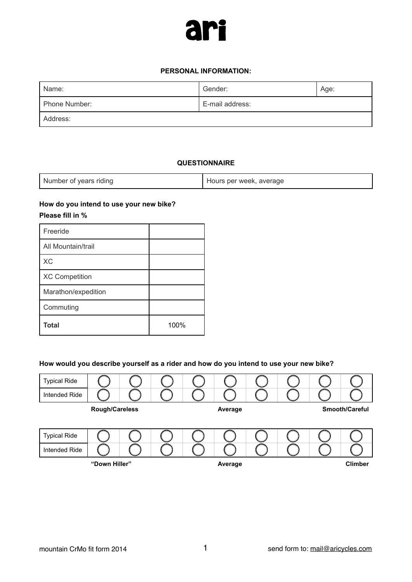

#### **PERSONAL INFORMATION:**

| Name:         | Gender:<br>Age: |  |
|---------------|-----------------|--|
| Phone Number: | E-mail address: |  |
| Address:      |                 |  |

#### **QUESTIONNAIRE**

| Number of years riding | Hours per week, average |
|------------------------|-------------------------|
|------------------------|-------------------------|

## **How do you intend to use your new bike? Please fill in %**

| <b>Total</b>          | 100% |
|-----------------------|------|
| Commuting             |      |
| Marathon/expedition   |      |
| <b>XC Competition</b> |      |
| <b>XC</b>             |      |
| All Mountain/trail    |      |
| Freeride              |      |

#### **How would you describe yourself as a rider and how do you intend to use your new bike?**

| <b>Typical Ride</b> |                       |  |         |         |                |                       |
|---------------------|-----------------------|--|---------|---------|----------------|-----------------------|
| Intended Ride       |                       |  |         |         |                |                       |
|                     | <b>Rough/Careless</b> |  |         | Average |                | <b>Smooth/Careful</b> |
|                     |                       |  |         |         |                |                       |
| <b>Typical Ride</b> |                       |  |         |         |                |                       |
| Intended Ride       |                       |  |         |         |                |                       |
| "Down Hiller"       |                       |  | Average |         | <b>Climber</b> |                       |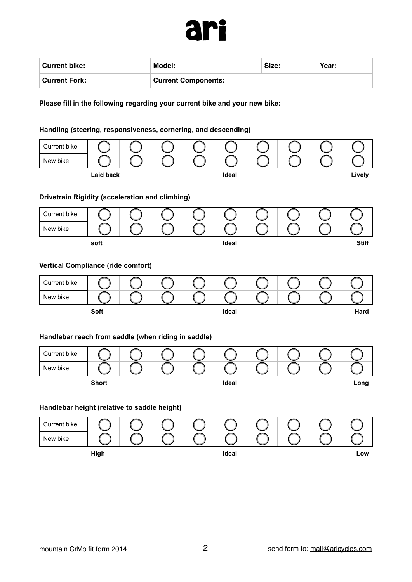

| Current bike:        | Model:                     | Size: | Year: |
|----------------------|----------------------------|-------|-------|
| <b>Current Fork:</b> | <b>Current Components:</b> |       |       |

**Please fill in the following regarding your current bike and your new bike:** 

# **Handling (steering, responsiveness, cornering, and descending)**

| Current bike                                        |                  |  |       |  |              |
|-----------------------------------------------------|------------------|--|-------|--|--------------|
| New bike                                            |                  |  |       |  |              |
|                                                     | <b>Laid back</b> |  | Ideal |  | Lively       |
|                                                     |                  |  |       |  |              |
| Drivetrain Rigidity (acceleration and climbing)     |                  |  |       |  |              |
| Current bike                                        |                  |  |       |  |              |
| New bike                                            |                  |  |       |  |              |
|                                                     | soft             |  | Ideal |  | <b>Stiff</b> |
|                                                     |                  |  |       |  |              |
| <b>Vertical Compliance (ride comfort)</b>           |                  |  |       |  |              |
| Current bike                                        |                  |  |       |  |              |
| New bike                                            |                  |  |       |  |              |
|                                                     | Soft             |  | Ideal |  | Hard         |
|                                                     |                  |  |       |  |              |
| Handlebar reach from saddle (when riding in saddle) |                  |  |       |  |              |
| Current bike                                        |                  |  |       |  |              |
| New bike                                            |                  |  |       |  |              |
|                                                     | <b>Short</b>     |  | Ideal |  | Long         |
|                                                     |                  |  |       |  |              |
| Handlebar height (relative to saddle height)        |                  |  |       |  |              |
| Current bike                                        |                  |  |       |  |              |

**High Ideal Low**

New bike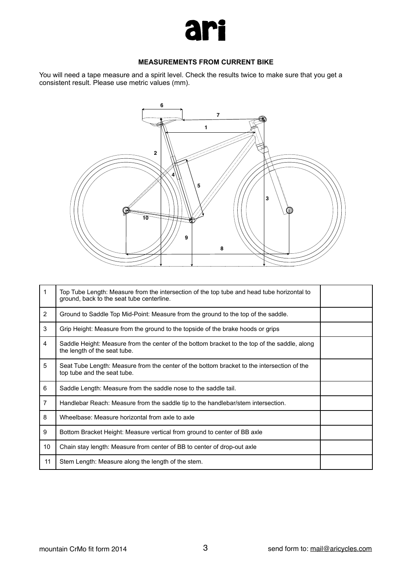

#### **MEASUREMENTS FROM CURRENT BIKE**

You will need a tape measure and a spirit level. Check the results twice to make sure that you get a consistent result. Please use metric values (mm).



| 1              | Top Tube Length: Measure from the intersection of the top tube and head tube horizontal to<br>ground, back to the seat tube centerline. |  |
|----------------|-----------------------------------------------------------------------------------------------------------------------------------------|--|
| $\overline{2}$ | Ground to Saddle Top Mid-Point: Measure from the ground to the top of the saddle.                                                       |  |
| 3              | Grip Height: Measure from the ground to the topside of the brake hoods or grips                                                         |  |
| 4              | Saddle Height: Measure from the center of the bottom bracket to the top of the saddle, along<br>the length of the seat tube.            |  |
| 5              | Seat Tube Length: Measure from the center of the bottom bracket to the intersection of the<br>top tube and the seat tube.               |  |
| 6              | Saddle Length: Measure from the saddle nose to the saddle tail.                                                                         |  |
| $\overline{7}$ | Handlebar Reach: Measure from the saddle tip to the handlebar/stem intersection.                                                        |  |
| 8              | Wheelbase: Measure horizontal from axle to axle                                                                                         |  |
| 9              | Bottom Bracket Height: Measure vertical from ground to center of BB axle                                                                |  |
| 10             | Chain stay length: Measure from center of BB to center of drop-out axle                                                                 |  |
| 11             | Stem Length: Measure along the length of the stem.                                                                                      |  |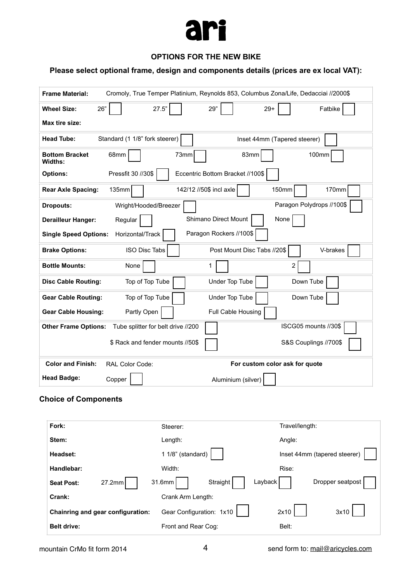

## **OPTIONS FOR THE NEW BIKE**

# **Please select optional frame, design and components details (prices are ex local VAT):**

| <b>Frame Material:</b>           |                                    | Cromoly, True Temper Platinium, Reynolds 853, Columbus Zona/Life, Dedacciai //2000\$ |
|----------------------------------|------------------------------------|--------------------------------------------------------------------------------------|
| 26"<br><b>Wheel Size:</b>        | 27.5"                              | 29"<br>$29+$<br>Fatbike                                                              |
| Max tire size:                   |                                    |                                                                                      |
| <b>Head Tube:</b>                | Standard (1 1/8" fork steerer)     | Inset 44mm (Tapered steerer)                                                         |
| <b>Bottom Bracket</b><br>Widths: | 68mm                               | 83mm<br>100mm<br>73mm                                                                |
| <b>Options:</b>                  | Pressfit 30 //30\$                 | Eccentric Bottom Bracket //100\$                                                     |
| <b>Rear Axle Spacing:</b>        | 135mm                              | 142/12 //50\$ incl axle<br>150mm<br>170mm                                            |
| <b>Dropouts:</b>                 | Wright/Hooded/Breezer              | Paragon Polydrops //100\$                                                            |
| <b>Derailleur Hanger:</b>        | Regular                            | Shimano Direct Mount<br>None                                                         |
| <b>Single Speed Options:</b>     | Horizontal/Track                   | Paragon Rockers //100\$                                                              |
| <b>Brake Options:</b>            | ISO Disc Tabs                      | Post Mount Disc Tabs //20\$<br>V-brakes                                              |
| <b>Bottle Mounts:</b>            | None                               | $\overline{2}$<br>1                                                                  |
| <b>Disc Cable Routing:</b>       | Top of Top Tube                    | Under Top Tube<br>Down Tube                                                          |
| <b>Gear Cable Routing:</b>       | Top of Top Tube                    | Under Top Tube<br>Down Tube                                                          |
| <b>Gear Cable Housing:</b>       | Partly Open                        | Full Cable Housing                                                                   |
| <b>Other Frame Options:</b>      | Tube splitter for belt drive //200 | ISCG05 mounts //30\$                                                                 |
|                                  | \$ Rack and fender mounts //50\$   | S&S Couplings //700\$                                                                |
| <b>Color and Finish:</b>         | RAL Color Code:                    | For custom color ask for quote                                                       |
| <b>Head Badge:</b>               | Copper                             | Aluminium (silver)                                                                   |
| `haica af Camnanante             |                                    |                                                                                      |

#### **Choice of Components**

| Fork:                             | Steerer:                      | Travel/length:               |
|-----------------------------------|-------------------------------|------------------------------|
| Stem:                             | Length:                       | Angle:                       |
| Headset:                          | 1 1/8" (standard)             | Inset 44mm (tapered steerer) |
| Handlebar:                        | Width:                        | Rise:                        |
| 27.2mm<br><b>Seat Post:</b>       | Layback<br>31.6mm<br>Straight | Dropper seatpost             |
| Crank:                            | Crank Arm Length:             |                              |
| Chainring and gear configuration: | Gear Configuration: 1x10      | 2x10<br>3x10                 |
| <b>Belt drive:</b>                | Front and Rear Cog:           | Belt:                        |